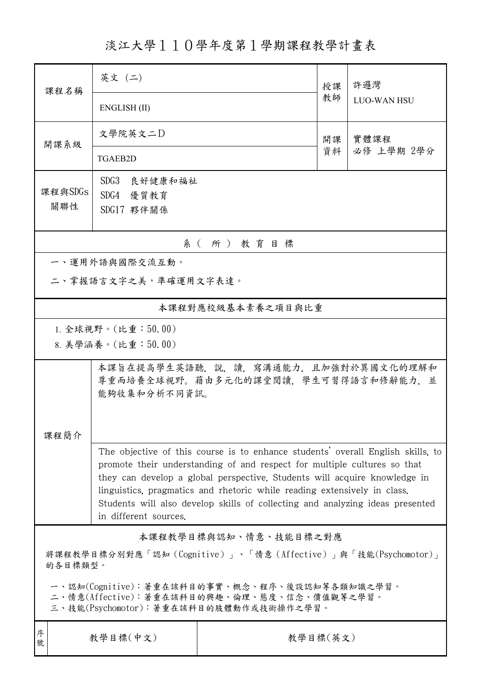淡江大學110學年度第1學期課程教學計畫表

| 課程名稱                                                                                                                                   | 英文 (二)                                                                                                                                                                                                                                                                                                                                                                                                                         |          | 授課 | 許邏灣                |  |  |
|----------------------------------------------------------------------------------------------------------------------------------------|--------------------------------------------------------------------------------------------------------------------------------------------------------------------------------------------------------------------------------------------------------------------------------------------------------------------------------------------------------------------------------------------------------------------------------|----------|----|--------------------|--|--|
|                                                                                                                                        | ENGLISH (II)                                                                                                                                                                                                                                                                                                                                                                                                                   |          | 教師 | <b>LUO-WAN HSU</b> |  |  |
| 開課系級                                                                                                                                   | 文學院英文二D                                                                                                                                                                                                                                                                                                                                                                                                                        |          | 開課 | 實體課程<br>必修 上學期 2學分 |  |  |
|                                                                                                                                        | TGAEB2D                                                                                                                                                                                                                                                                                                                                                                                                                        |          | 資料 |                    |  |  |
| 課程與SDGs                                                                                                                                | SDG3 良好健康和福祉                                                                                                                                                                                                                                                                                                                                                                                                                   |          |    |                    |  |  |
| 關聯性                                                                                                                                    | SDG4 優質教育<br>SDG17 夥伴關係                                                                                                                                                                                                                                                                                                                                                                                                        |          |    |                    |  |  |
|                                                                                                                                        |                                                                                                                                                                                                                                                                                                                                                                                                                                |          |    |                    |  |  |
| 系(所)教育目標                                                                                                                               |                                                                                                                                                                                                                                                                                                                                                                                                                                |          |    |                    |  |  |
|                                                                                                                                        | 一、運用外語與國際交流互動。                                                                                                                                                                                                                                                                                                                                                                                                                 |          |    |                    |  |  |
| 二、掌握語言文字之美,準確運用文字表達。                                                                                                                   |                                                                                                                                                                                                                                                                                                                                                                                                                                |          |    |                    |  |  |
| 本課程對應校級基本素養之項目與比重                                                                                                                      |                                                                                                                                                                                                                                                                                                                                                                                                                                |          |    |                    |  |  |
| 1. 全球視野。(比重:50.00)                                                                                                                     |                                                                                                                                                                                                                                                                                                                                                                                                                                |          |    |                    |  |  |
|                                                                                                                                        | 8. 美學涵養。(比重:50.00)                                                                                                                                                                                                                                                                                                                                                                                                             |          |    |                    |  |  |
|                                                                                                                                        | 本課旨在提高學生英語聽,說,讀,寫溝通能力,且加強對於異國文化的理解和<br>尊重而培養全球視野。藉由多元化的課堂閲讀,學生可習得語言和修辭能力,並<br>能夠收集和分析不同資訊。                                                                                                                                                                                                                                                                                                                                     |          |    |                    |  |  |
| 課程簡介                                                                                                                                   |                                                                                                                                                                                                                                                                                                                                                                                                                                |          |    |                    |  |  |
|                                                                                                                                        | The objective of this course is to enhance students' overall English skills, to<br>promote their understanding of and respect for multiple cultures so that<br>they can develop a global perspective. Students will acquire knowledge in<br>linguistics, pragmatics and rhetoric while reading extensively in class.<br>Students will also develop skills of collecting and analyzing ideas presented<br>in different sources. |          |    |                    |  |  |
| 本課程教學目標與認知、情意、技能目標之對應                                                                                                                  |                                                                                                                                                                                                                                                                                                                                                                                                                                |          |    |                    |  |  |
| 將課程教學目標分別對應「認知 (Cognitive)」、「情意 (Affective)」與「技能(Psychomotor)」<br>的各目標類型。                                                              |                                                                                                                                                                                                                                                                                                                                                                                                                                |          |    |                    |  |  |
| 一、認知(Cognitive):著重在該科目的事實、概念、程序、後設認知等各類知識之學習。<br>二、情意(Affective):著重在該科目的興趣、倫理、態度、信念、價值觀等之學習。<br>三、技能(Psychomotor):著重在該科目的肢體動作或技術操作之學習。 |                                                                                                                                                                                                                                                                                                                                                                                                                                |          |    |                    |  |  |
| 序<br>號                                                                                                                                 | 教學目標(中文)                                                                                                                                                                                                                                                                                                                                                                                                                       | 教學目標(英文) |    |                    |  |  |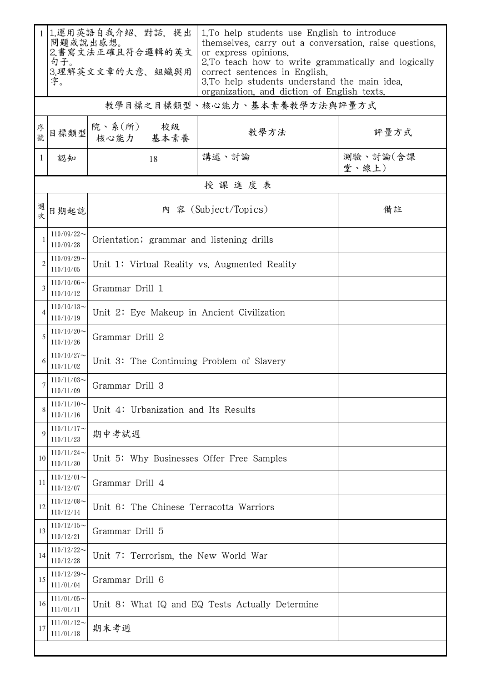|              | 1.運用英語自我介紹、對話,提出<br>問題或說出感想。<br>2.書寫文法正確且符合邏輯的英文<br>句子。<br>3.理解英文文章的大意、組織與用<br>字。 |                                                 |                                      | 1. To help students use English to introduce<br>themselves, carry out a conversation, raise questions,<br>or express opinions.<br>2. To teach how to write grammatically and logically<br>correct sentences in English.<br>3. To help students understand the main idea,<br>organization, and diction of English texts. |                   |  |  |  |  |
|--------------|-----------------------------------------------------------------------------------|-------------------------------------------------|--------------------------------------|-------------------------------------------------------------------------------------------------------------------------------------------------------------------------------------------------------------------------------------------------------------------------------------------------------------------------|-------------------|--|--|--|--|
|              | 教學目標之目標類型、核心能力、基本素養教學方法與評量方式                                                      |                                                 |                                      |                                                                                                                                                                                                                                                                                                                         |                   |  |  |  |  |
| 序號           | 目標類型                                                                              | 院、系 $(\kappa)$                                  | 校級<br>核心能力 基本素養                      | 教學方法                                                                                                                                                                                                                                                                                                                    | 評量方式              |  |  |  |  |
| $\mathbf{1}$ | 認知                                                                                |                                                 | 18                                   | 講述、討論                                                                                                                                                                                                                                                                                                                   | 測驗、討論(含課<br>堂、線上) |  |  |  |  |
|              | 授課進度表                                                                             |                                                 |                                      |                                                                                                                                                                                                                                                                                                                         |                   |  |  |  |  |
| 週次           | 日期起訖                                                                              |                                                 | 備註                                   |                                                                                                                                                                                                                                                                                                                         |                   |  |  |  |  |
| 1            | $110/09/22$ ~<br>110/09/28                                                        | Orientation; grammar and listening drills       |                                      |                                                                                                                                                                                                                                                                                                                         |                   |  |  |  |  |
|              | $110/09/29$ ~<br>110/10/05                                                        | Unit 1: Virtual Reality vs. Augmented Reality   |                                      |                                                                                                                                                                                                                                                                                                                         |                   |  |  |  |  |
| 3            | $110/10/06 \sim$<br>110/10/12                                                     | Grammar Drill 1                                 |                                      |                                                                                                                                                                                                                                                                                                                         |                   |  |  |  |  |
| 4            | $110/10/13$ ~<br>110/10/19                                                        | Unit 2: Eye Makeup in Ancient Civilization      |                                      |                                                                                                                                                                                                                                                                                                                         |                   |  |  |  |  |
| 5            | $110/10/20$ ~<br>110/10/26                                                        | Grammar Drill 2                                 |                                      |                                                                                                                                                                                                                                                                                                                         |                   |  |  |  |  |
|              | $110/10/27$ ~<br>110/11/02                                                        | Unit 3: The Continuing Problem of Slavery       |                                      |                                                                                                                                                                                                                                                                                                                         |                   |  |  |  |  |
|              | $110/11/03$ ~<br>110/11/09                                                        | Grammar Drill 3                                 |                                      |                                                                                                                                                                                                                                                                                                                         |                   |  |  |  |  |
| 8            | $110/11/10$ ~<br>110/11/16                                                        | Unit 4: Urbanization and Its Results            |                                      |                                                                                                                                                                                                                                                                                                                         |                   |  |  |  |  |
|              | $110/11/17$ ~<br>110/11/23                                                        | 期中考試週                                           |                                      |                                                                                                                                                                                                                                                                                                                         |                   |  |  |  |  |
| 10           | $110/11/24$ ~<br>110/11/30                                                        | Unit 5: Why Businesses Offer Free Samples       |                                      |                                                                                                                                                                                                                                                                                                                         |                   |  |  |  |  |
| 11           | $110/12/01$ ~<br>110/12/07                                                        | Grammar Drill 4                                 |                                      |                                                                                                                                                                                                                                                                                                                         |                   |  |  |  |  |
| 12           | $110/12/08$ ~<br>110/12/14                                                        | Unit 6: The Chinese Terracotta Warriors         |                                      |                                                                                                                                                                                                                                                                                                                         |                   |  |  |  |  |
| 13           | $110/12/15$ ~<br>110/12/21                                                        | Grammar Drill 5                                 |                                      |                                                                                                                                                                                                                                                                                                                         |                   |  |  |  |  |
| 14           | $110/12/22$ ~<br>110/12/28                                                        |                                                 | Unit 7: Terrorism, the New World War |                                                                                                                                                                                                                                                                                                                         |                   |  |  |  |  |
| 15           | $110/12/29$ ~<br>111/01/04                                                        |                                                 | Grammar Drill 6                      |                                                                                                                                                                                                                                                                                                                         |                   |  |  |  |  |
| 16           | $111/01/05$ ~<br>111/01/11                                                        | Unit 8: What IQ and EQ Tests Actually Determine |                                      |                                                                                                                                                                                                                                                                                                                         |                   |  |  |  |  |
| 17           | $111/01/12$ ~<br>111/01/18                                                        | 期末考週                                            |                                      |                                                                                                                                                                                                                                                                                                                         |                   |  |  |  |  |
|              |                                                                                   |                                                 |                                      |                                                                                                                                                                                                                                                                                                                         |                   |  |  |  |  |